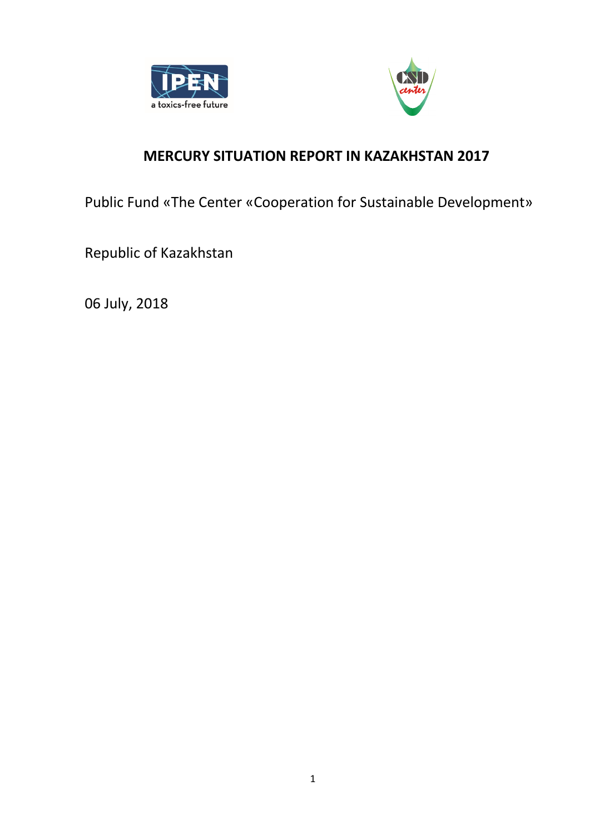



# **MERCURY SITUATION REPORT IN KAZAKHSTAN 2017**

Public Fund «The Center «Cooperation for Sustainable Development»

Republic of Kazakhstan

06 July, 2018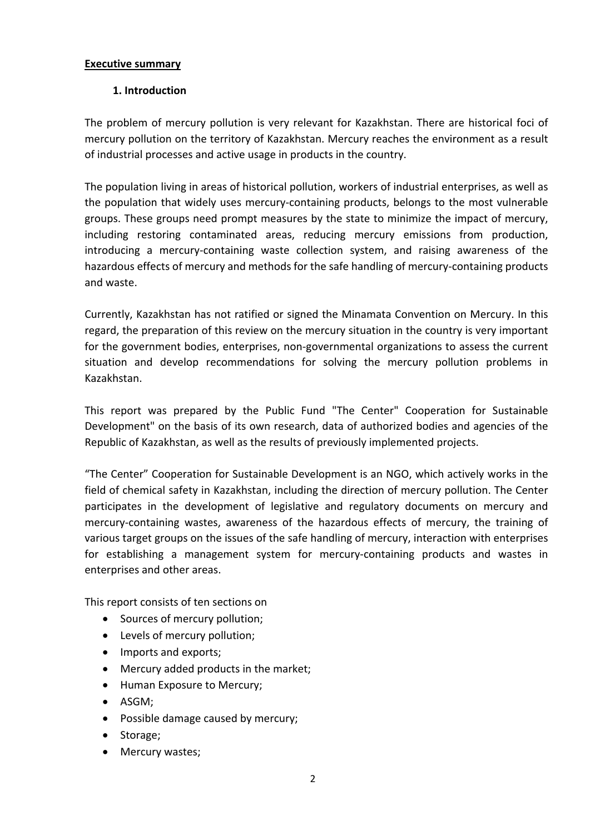#### **Executive summary**

#### **1. Introduction**

The problem of mercury pollution is very relevant for Kazakhstan. There are historical foci of mercury pollution on the territory of Kazakhstan. Mercury reaches the environment as a result of industrial processes and active usage in products in the country.

The population living in areas of historical pollution, workers of industrial enterprises, as well as the population that widely uses mercury-containing products, belongs to the most vulnerable groups. These groups need prompt measures by the state to minimize the impact of mercury, including restoring contaminated areas, reducing mercury emissions from production, introducing a mercury-containing waste collection system, and raising awareness of the hazardous effects of mercury and methods for the safe handling of mercury-containing products and waste.

Currently, Kazakhstan has not ratified or signed the Minamata Convention on Mercury. In this regard, the preparation of this review on the mercury situation in the country is very important for the government bodies, enterprises, non-governmental organizations to assess the current situation and develop recommendations for solving the mercury pollution problems in Kazakhstan.

This report was prepared by the Public Fund "The Center" Cooperation for Sustainable Development" on the basis of its own research, data of authorized bodies and agencies of the Republic of Kazakhstan, as well as the results of previously implemented projects.

"The Center" Cooperation for Sustainable Development is an NGO, which actively works in the field of chemical safety in Kazakhstan, including the direction of mercury pollution. The Center participates in the development of legislative and regulatory documents on mercury and mercury-containing wastes, awareness of the hazardous effects of mercury, the training of various target groups on the issues of the safe handling of mercury, interaction with enterprises for establishing a management system for mercury-containing products and wastes in enterprises and other areas.

This report consists of ten sections on

- Sources of mercury pollution;
- Levels of mercury pollution;
- Imports and exports;
- Mercury added products in the market;
- Human Exposure to Mercury;
- ASGM;
- Possible damage caused by mercury;
- Storage;
- Mercury wastes;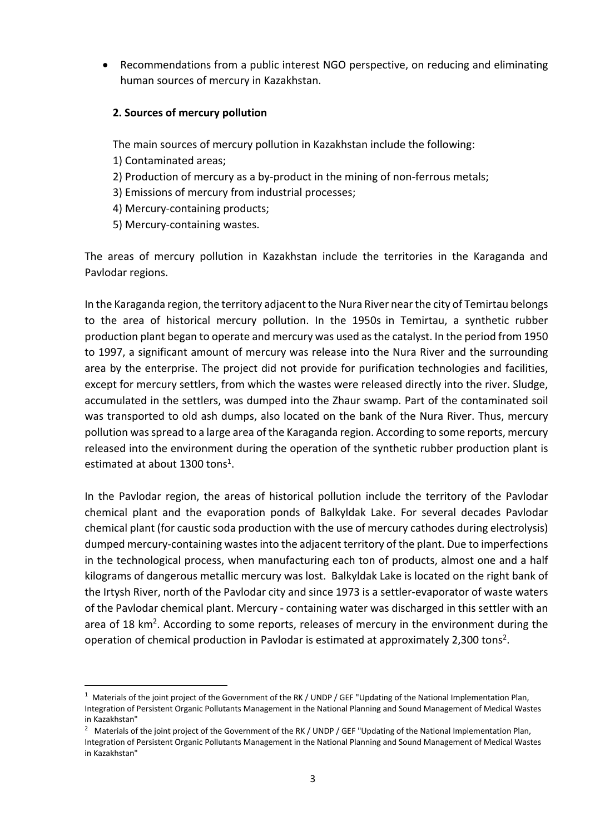• Recommendations from a public interest NGO perspective, on reducing and eliminating human sources of mercury in Kazakhstan.

#### **2. Sources of mercury pollution**

The main sources of mercury pollution in Kazakhstan include the following:

- 1) Contaminated areas;
- 2) Production of mercury as a by-product in the mining of non-ferrous metals;
- 3) Emissions of mercury from industrial processes;
- 4) Mercury-containing products;
- 5) Mercury-containing wastes.

The areas of mercury pollution in Kazakhstan include the territories in the Karaganda and Pavlodar regions.

In the Karaganda region, the territory adjacent to the Nura River near the city of Temirtau belongs to the area of historical mercury pollution. In the 1950s in Temirtau, a synthetic rubber production plant began to operate and mercury was used as the catalyst. In the period from 1950 to 1997, a significant amount of mercury was release into the Nura River and the surrounding area by the enterprise. The project did not provide for purification technologies and facilities, except for mercury settlers, from which the wastes were released directly into the river. Sludge, accumulated in the settlers, was dumped into the Zhaur swamp. Part of the contaminated soil was transported to old ash dumps, also located on the bank of the Nura River. Thus, mercury pollution was spread to a large area of the Karaganda region. According to some reports, mercury released into the environment during the operation of the synthetic rubber production plant is estimated at about 1300 tons<sup>1</sup>.

In the Pavlodar region, the areas of historical pollution include the territory of the Pavlodar chemical plant and the evaporation ponds of Balkyldak Lake. For several decades Pavlodar chemical plant (for caustic soda production with the use of mercury cathodes during electrolysis) dumped mercury-containing wastes into the adjacent territory of the plant. Due to imperfections in the technological process, when manufacturing each ton of products, almost one and a half kilograms of dangerous metallic mercury was lost. Balkyldak Lake is located on the right bank of the Irtysh River, north of the Pavlodar city and since 1973 is a settler-evaporator of waste waters of the Pavlodar chemical plant. Mercury - containing water was discharged in this settler with an area of 18 km<sup>2</sup>. According to some reports, releases of mercury in the environment during the operation of chemical production in Pavlodar is estimated at approximately 2,300 tons<sup>2</sup>.

<sup>&</sup>lt;sup>1</sup> Materials of the joint project of the Government of the RK / UNDP / GEF "Updating of the National Implementation Plan, Integration of Persistent Organic Pollutants Management in the National Planning and Sound Management of Medical Wastes in Kazakhstan"

<sup>&</sup>lt;sup>2</sup> Materials of the joint project of the Government of the RK / UNDP / GEF "Updating of the National Implementation Plan, Integration of Persistent Organic Pollutants Management in the National Planning and Sound Management of Medical Wastes in Kazakhstan"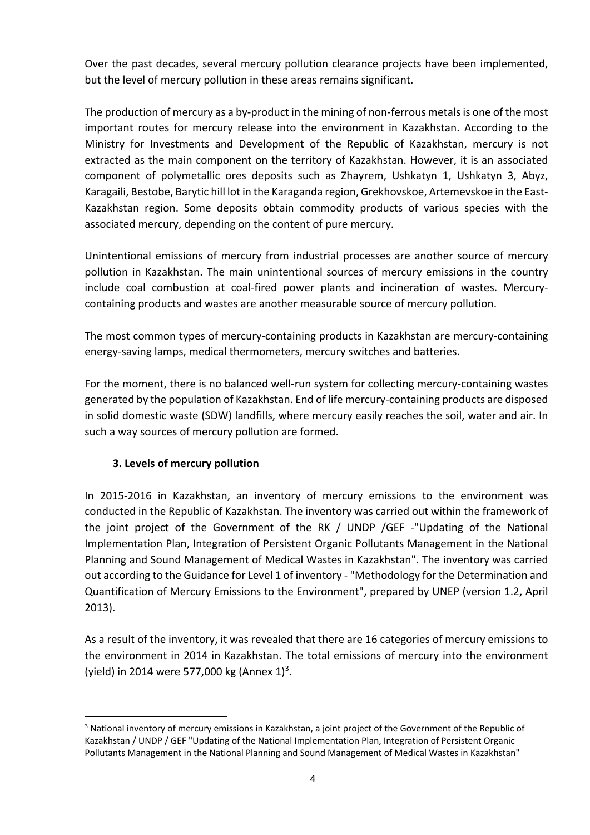Over the past decades, several mercury pollution clearance projects have been implemented, but the level of mercury pollution in these areas remains significant.

The production of mercury as a by-product in the mining of non-ferrous metals is one of the most important routes for mercury release into the environment in Kazakhstan. According to the Ministry for Investments and Development of the Republic of Kazakhstan, mercury is not extracted as the main component on the territory of Kazakhstan. However, it is an associated component of polymetallic ores deposits such as Zhayrem, Ushkatyn 1, Ushkatyn 3, Abyz, Karagaili, Bestobe, Barytic hill lot in the Karaganda region, Grekhovskoe, Artemevskoe in the East-Kazakhstan region. Some deposits obtain commodity products of various species with the associated mercury, depending on the content of pure mercury.

Unintentional emissions of mercury from industrial processes are another source of mercury pollution in Kazakhstan. The main unintentional sources of mercury emissions in the country include coal combustion at coal-fired power plants and incineration of wastes. Mercurycontaining products and wastes are another measurable source of mercury pollution.

The most common types of mercury-containing products in Kazakhstan are mercury-containing energy-saving lamps, medical thermometers, mercury switches and batteries.

For the moment, there is no balanced well-run system for collecting mercury-containing wastes generated by the population of Kazakhstan. End of life mercury-containing products are disposed in solid domestic waste (SDW) landfills, where mercury easily reaches the soil, water and air. In such a way sources of mercury pollution are formed.

# **3. Levels of mercury pollution**

In 2015-2016 in Kazakhstan, an inventory of mercury emissions to the environment was conducted in the Republic of Kazakhstan. The inventory was carried out within the framework of the joint project of the Government of the RK / UNDP /GEF -"Updating of the National Implementation Plan, Integration of Persistent Organic Pollutants Management in the National Planning and Sound Management of Medical Wastes in Kazakhstan". The inventory was carried out according to the Guidance for Level 1 of inventory - "Methodology for the Determination and Quantification of Mercury Emissions to the Environment", prepared by UNEP (version 1.2, April 2013).

As a result of the inventory, it was revealed that there are 16 categories of mercury emissions to the environment in 2014 in Kazakhstan. The total emissions of mercury into the environment (yield) in 2014 were 577,000 kg (Annex  $1)^3$ .

<sup>&</sup>lt;sup>3</sup> National inventory of mercury emissions in Kazakhstan, a joint project of the Government of the Republic of Kazakhstan / UNDP / GEF "Updating of the National Implementation Plan, Integration of Persistent Organic Pollutants Management in the National Planning and Sound Management of Medical Wastes in Kazakhstan"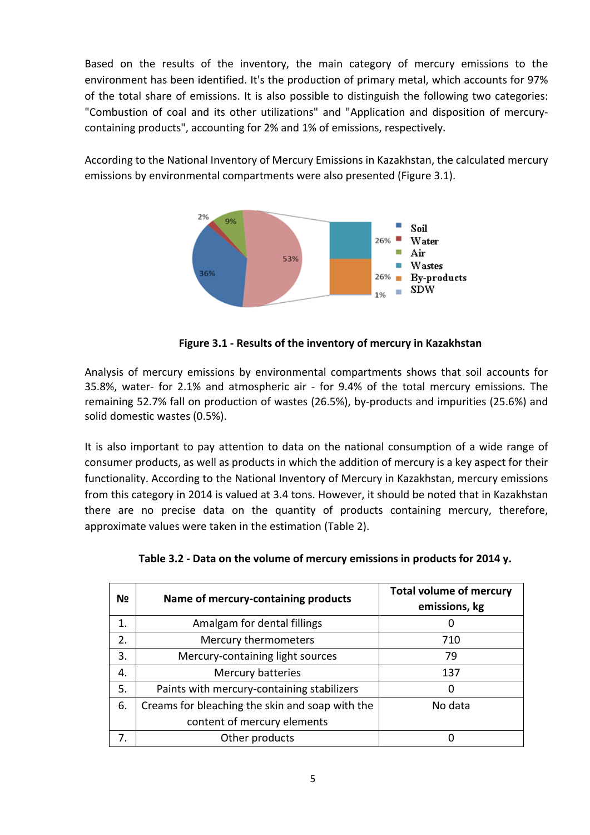Based on the results of the inventory, the main category of mercury emissions to the environment has been identified. It's the production of primary metal, which accounts for 97% of the total share of emissions. It is also possible to distinguish the following two categories: "Combustion of coal and its other utilizations" and "Application and disposition of mercurycontaining products", accounting for 2% and 1% of emissions, respectively.

According to the National Inventory of Mercury Emissions in Kazakhstan, the calculated mercury emissions by environmental compartments were also presented (Figure 3.1).



**Figure 3.1 - Results of the inventory of mercury in Kazakhstan**

Analysis of mercury emissions by environmental compartments shows that soil accounts for 35.8%, water- for 2.1% and atmospheric air - for 9.4% of the total mercury emissions. The remaining 52.7% fall on production of wastes (26.5%), by-products and impurities (25.6%) and solid domestic wastes (0.5%).

It is also important to pay attention to data on the national consumption of a wide range of consumer products, as well as products in which the addition of mercury is a key aspect for their functionality. According to the National Inventory of Mercury in Kazakhstan, mercury emissions from this category in 2014 is valued at 3.4 tons. However, it should be noted that in Kazakhstan there are no precise data on the quantity of products containing mercury, therefore, approximate values were taken in the estimation (Table 2).

| N <sub>2</sub> | Name of mercury-containing products             | <b>Total volume of mercury</b><br>emissions, kg |
|----------------|-------------------------------------------------|-------------------------------------------------|
| 1.             | Amalgam for dental fillings                     | O                                               |
| 2.             | Mercury thermometers                            | 710                                             |
| 3.             | Mercury-containing light sources                | 79                                              |
| 4.             | Mercury batteries                               | 137                                             |
| 5.             | Paints with mercury-containing stabilizers      | O                                               |
| 6.             | Creams for bleaching the skin and soap with the | No data                                         |
|                | content of mercury elements                     |                                                 |
|                | Other products                                  |                                                 |

| Table 3.2 - Data on the volume of mercury emissions in products for 2014 y. |  |  |  |
|-----------------------------------------------------------------------------|--|--|--|
|                                                                             |  |  |  |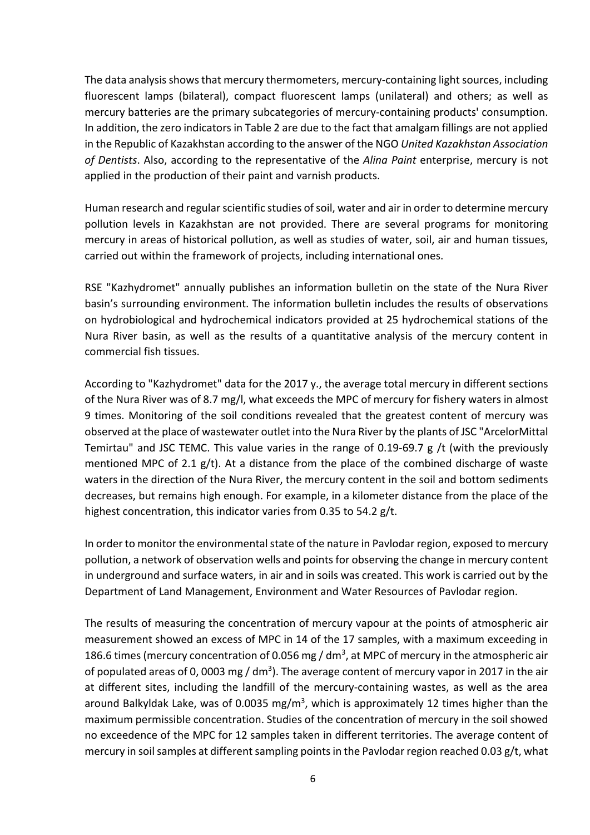The data analysis shows that mercury thermometers, mercury-containing light sources, including fluorescent lamps (bilateral), compact fluorescent lamps (unilateral) and others; as well as mercury batteries are the primary subcategories of mercury-containing products' consumption. In addition, the zero indicators in Table 2 are due to the fact that amalgam fillings are not applied in the Republic of Kazakhstan according to the answer of the NGO *United Kazakhstan Association of Dentists*. Also, according to the representative of the *Alina Paint* enterprise, mercury is not applied in the production of their paint and varnish products.

Human research and regular scientific studies of soil, water and air in order to determine mercury pollution levels in Kazakhstan are not provided. There are several programs for monitoring mercury in areas of historical pollution, as well as studies of water, soil, air and human tissues, carried out within the framework of projects, including international ones.

RSE "Kazhydromet" annually publishes an information bulletin on the state of the Nura River basin's surrounding environment. The information bulletin includes the results of observations on hydrobiological and hydrochemical indicators provided at 25 hydrochemical stations of the Nura River basin, as well as the results of a quantitative analysis of the mercury content in commercial fish tissues.

According to "Kazhydromet" data for the 2017 y., the average total mercury in different sections of the Nura River was of 8.7 mg/l, what exceeds the MPC of mercury for fishery waters in almost 9 times. Monitoring of the soil conditions revealed that the greatest content of mercury was observed at the place of wastewater outlet into the Nura River by the plants of JSC "ArcelorMittal Temirtau" and JSC TEMC. This value varies in the range of 0.19-69.7 g /t (with the previously mentioned MPC of 2.1  $g/t$ ). At a distance from the place of the combined discharge of waste waters in the direction of the Nura River, the mercury content in the soil and bottom sediments decreases, but remains high enough. For example, in a kilometer distance from the place of the highest concentration, this indicator varies from 0.35 to 54.2 g/t.

In order to monitor the environmental state of the nature in Pavlodar region, exposed to mercury pollution, a network of observation wells and points for observing the change in mercury content in underground and surface waters, in air and in soils was created. This work is carried out by the Department of Land Management, Environment and Water Resources of Pavlodar region.

The results of measuring the concentration of mercury vapour at the points of atmospheric air measurement showed an excess of MPC in 14 of the 17 samples, with a maximum exceeding in 186.6 times (mercury concentration of 0.056 mg /  $dm<sup>3</sup>$ , at MPC of mercury in the atmospheric air of populated areas of 0, 0003 mg / dm<sup>3</sup>). The average content of mercury vapor in 2017 in the air at different sites, including the landfill of the mercury-containing wastes, as well as the area around Balkyldak Lake, was of 0.0035 mg/m<sup>3</sup>, which is approximately 12 times higher than the maximum permissible concentration. Studies of the concentration of mercury in the soil showed no exceedence of the MPC for 12 samples taken in different territories. The average content of mercury in soil samples at different sampling points in the Pavlodar region reached 0.03 g/t, what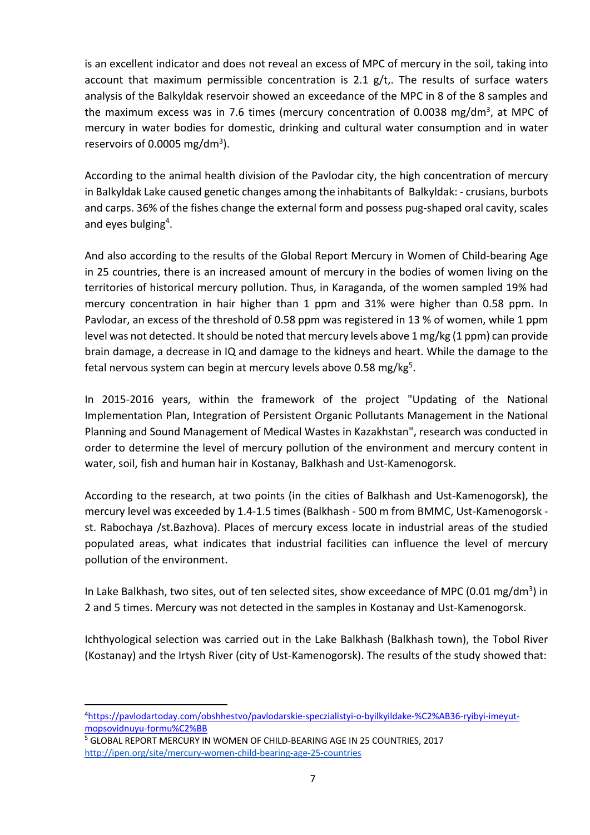is an excellent indicator and does not reveal an excess of MPC of mercury in the soil, taking into account that maximum permissible concentration is 2.1  $g/t$ . The results of surface waters analysis of the Balkyldak reservoir showed an exceedance of the MPC in 8 of the 8 samples and the maximum excess was in 7.6 times (mercury concentration of 0.0038 mg/dm<sup>3</sup>, at MPC of mercury in water bodies for domestic, drinking and cultural water consumption and in water reservoirs of 0.0005 mg/dm<sup>3</sup>).

According to the animal health division of the Pavlodar city, the high concentration of mercury in Balkyldak Lake caused genetic changes among the inhabitants of Balkyldak: - сrusians, burbots and carps. 36% of the fishes change the external form and possess pug-shaped oral cavity, scales and eyes bulging<sup>4</sup>.

And also according to the results of the Global Report Mercury in Women of Child-bearing Age in 25 countries, there is an increased amount of mercury in the bodies of women living on the territories of historical mercury pollution. Thus, in Karaganda, of the women sampled 19% had mercury concentration in hair higher than 1 ppm and 31% were higher than 0.58 ppm. In Pavlodar, an excess of the threshold of 0.58 ppm was registered in 13 % of women, while 1 ppm level was not detected. It should be noted that mercury levels above 1 mg/kg (1 ppm) can provide brain damage, a decrease in IQ and damage to the kidneys and heart. While the damage to the fetal nervous system can begin at mercury levels above 0.58 mg/kg<sup>5</sup>.

In 2015-2016 years, within the framework of the project "Updating of the National Implementation Plan, Integration of Persistent Organic Pollutants Management in the National Planning and Sound Management of Medical Wastes in Kazakhstan", research was conducted in order to determine the level of mercury pollution of the environment and mercury content in water, soil, fish and human hair in Kostanay, Balkhash and Ust-Kamenogorsk.

According to the research, at two points (in the cities of Balkhash and Ust-Kamenogorsk), the mercury level was exceeded by 1.4-1.5 times (Balkhash - 500 m from BMMC, Ust-Kamenogorsk st. Rabochaya /st.Bazhova). Places of mercury excess locate in industrial areas of the studied populated areas, what indicates that industrial facilities can influence the level of mercury pollution of the environment.

In Lake Balkhash, two sites, out of ten selected sites, show exceedance of MPC (0.01 mg/dm<sup>3</sup>) in 2 and 5 times. Mercury was not detected in the samples in Kostanay and Ust-Kamenogorsk.

Ichthyological selection was carried out in the Lake Balkhash (Balkhash town), the Tobol River (Kostanay) and the Irtysh River (city of Ust-Kamenogorsk). The results of the study showed that:

<sup>5</sup> GLOBAL REPORT MERCURY IN WOMEN OF CHILD-BEARING AGE IN 25 COUNTRIES, 2017 http://ipen.org/site/mercury-women-child-bearing-age-25-countries

 $\frac{1}{4}$ https://pavlodartoday.com/obshhestvo/pavlodarskie-speczialistyi-o-byilkyildake-%C2%AB36-ryibyi-imeyutmopsovidnuyu-formu%C2%BB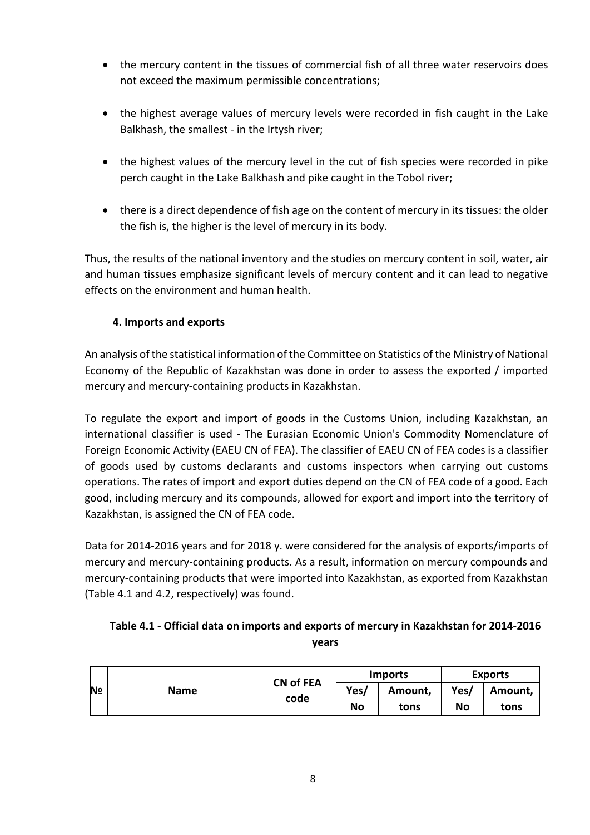- the mercury content in the tissues of commercial fish of all three water reservoirs does not exceed the maximum permissible concentrations;
- the highest average values of mercury levels were recorded in fish caught in the Lake Balkhash, the smallest - in the Irtysh river;
- the highest values of the mercury level in the сut of fish species were recorded in pike perch caught in the Lake Balkhash and pike caught in the Tobol river;
- there is a direct dependence of fish age on the content of mercury in its tissues: the older the fish is, the higher is the level of mercury in its body.

Thus, the results of the national inventory and the studies on mercury content in soil, water, air and human tissues emphasize significant levels of mercury content and it can lead to negative effects on the environment and human health.

# **4. Imports and exports**

An analysis of the statistical information of the Committee on Statistics of the Ministry of National Economy of the Republic of Kazakhstan was done in order to assess the exported / imported mercury and mercury-containing products in Kazakhstan.

To regulate the export and import of goods in the Customs Union, including Kazakhstan, an international classifier is used - The Eurasian Economic Union's Commodity Nomenclature of Foreign Economic Activity (EAEU CN of FEA). The classifier of EAEU CN of FEA codes is a classifier of goods used by customs declarants and customs inspectors when carrying out customs operations. The rates of import and export duties depend on the CN of FEA code of a good. Each good, including mercury and its compounds, allowed for export and import into the territory of Kazakhstan, is assigned the CN of FEA code.

Data for 2014-2016 years and for 2018 y. were considered for the analysis of exports/imports of mercury and mercury-containing products. As a result, information on mercury compounds and mercury-containing products that were imported into Kazakhstan, as exported from Kazakhstan (Table 4.1 and 4.2, respectively) was found.

# **Table 4.1 - Official data on imports and exports of mercury in Kazakhstan for 2014-2016 years**

| N <sub>2</sub> | <b>CN of FEA</b><br><b>Name</b><br>code |  | <b>Exports</b><br>Imports |         |      |         |
|----------------|-----------------------------------------|--|---------------------------|---------|------|---------|
|                |                                         |  | Yes/                      | Amount, | Yes/ | Amount, |
|                |                                         |  | No                        | tons    | No   | tons    |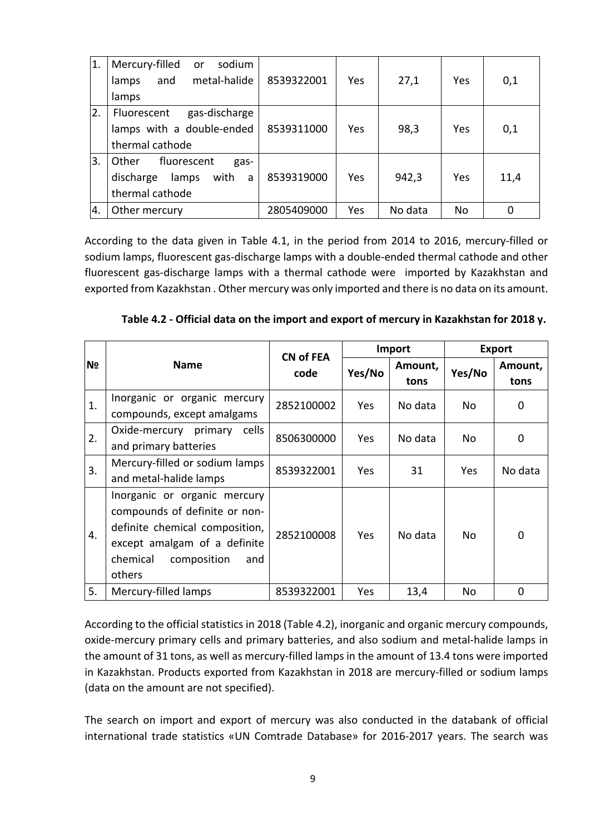| $\vert$ 1. | Mercury-filled<br>sodium<br><b>or</b><br>metal-halide<br>and<br>lamps<br>lamps     | 8539322001 | Yes | 27,1    | Yes | 0,1  |
|------------|------------------------------------------------------------------------------------|------------|-----|---------|-----|------|
| 2.         | gas-discharge<br>Fluorescent<br>lamps with a double-ended<br>thermal cathode       | 8539311000 | Yes | 98,3    | Yes | 0,1  |
| 3.         | Other<br>fluorescent<br>gas-<br>with<br>discharge<br>lamps<br>a<br>thermal cathode | 8539319000 | Yes | 942,3   | Yes | 11,4 |
| 4.         | Other mercury                                                                      | 2805409000 | Yes | No data | No  |      |

According to the data given in Table 4.1, in the period from 2014 to 2016, mercury-filled or sodium lamps, fluorescent gas-discharge lamps with a double-ended thermal cathode and other fluorescent gas-discharge lamps with a thermal cathode were imported by Kazakhstan and exported from Kazakhstan . Other mercury was only imported and there is no data on its amount.

|                |                                                                                                                                                                             | <b>CN of FEA</b> |            | Import          | <b>Export</b> |                 |
|----------------|-----------------------------------------------------------------------------------------------------------------------------------------------------------------------------|------------------|------------|-----------------|---------------|-----------------|
| N <sub>2</sub> | <b>Name</b>                                                                                                                                                                 | code             | Yes/No     | Amount,<br>tons | Yes/No        | Amount,<br>tons |
| 1.             | Inorganic or organic mercury<br>compounds, except amalgams                                                                                                                  | 2852100002       | <b>Yes</b> | No data         | No            | 0               |
| 2.             | Oxide-mercury primary<br>cells<br>and primary batteries                                                                                                                     | 8506300000       | Yes.       | No data         | No            | 0               |
| 3.             | Mercury-filled or sodium lamps<br>and metal-halide lamps                                                                                                                    | 8539322001       | Yes.       | 31              | Yes           | No data         |
| 4.             | Inorganic or organic mercury<br>compounds of definite or non-<br>definite chemical composition,<br>except amalgam of a definite<br>chemical<br>composition<br>and<br>others | 2852100008       | Yes        | No data         | No            | 0               |
| 5.             | Mercury-filled lamps                                                                                                                                                        | 8539322001       | Yes        | 13,4            | No            | $\mathbf 0$     |

**Table 4.2 - Official data on the import and export of mercury in Kazakhstan for 2018 y.**

According to the official statistics in 2018 (Table 4.2), inorganic and organic mercury compounds, oxide-mercury primary cells and primary batteries, and also sodium and metal-halide lamps in the amount of 31 tons, as well as mercury-filled lamps in the amount of 13.4 tons were imported in Kazakhstan. Products exported from Kazakhstan in 2018 are mercury-filled or sodium lamps (data on the amount are not specified).

The search on import and export of mercury was also conducted in the databank of official international trade statistics «UN Comtrade Database» for 2016-2017 years. The search was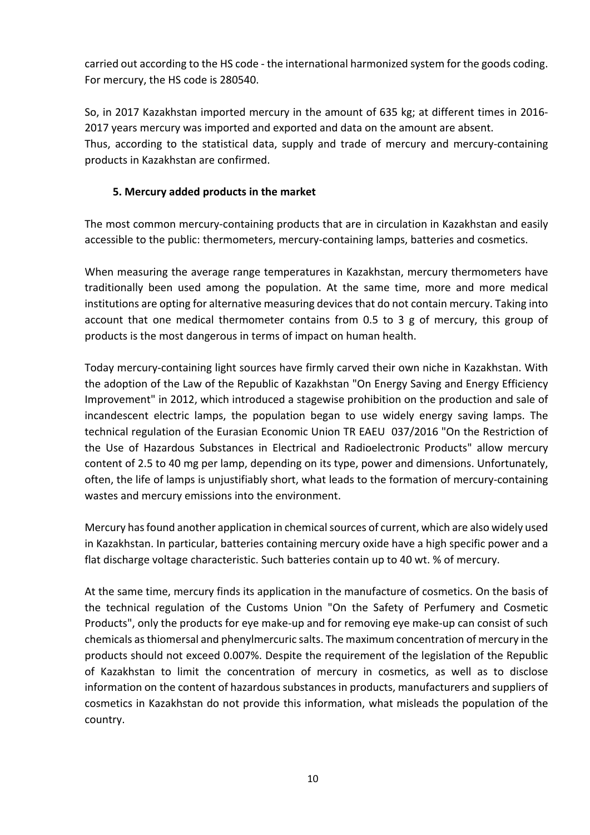carried out according to the HS code - the international harmonized system for the goods coding. For mercury, the HS code is 280540.

So, in 2017 Kazakhstan imported mercury in the amount of 635 kg; at different times in 2016- 2017 years mercury was imported and exported and data on the amount are absent. Thus, according to the statistical data, supply and trade of mercury and mercury-containing products in Kazakhstan are confirmed.

## **5. Mercury added products in the market**

The most common mercury-containing products that are in circulation in Kazakhstan and easily accessible to the public: thermometers, mercury-containing lamps, batteries and cosmetics.

When measuring the average range temperatures in Kazakhstan, mercury thermometers have traditionally been used among the population. At the same time, more and more medical institutions are opting for alternative measuring devices that do not contain mercury. Taking into account that one medical thermometer contains from 0.5 to 3 g of mercury, this group of products is the most dangerous in terms of impact on human health.

Today mercury-containing light sources have firmly carved their own niche in Kazakhstan. With the adoption of the Law of the Republic of Kazakhstan "On Energy Saving and Energy Efficiency Improvement" in 2012, which introduced a stagewise prohibition on the production and sale of incandescent electric lamps, the population began to use widely energy saving lamps. The technical regulation of the Eurasian Economic Union TR EAEU 037/2016 "On the Restriction of the Use of Hazardous Substances in Electrical and Radioelectronic Products" allow mercury content of 2.5 to 40 mg per lamp, depending on its type, power and dimensions. Unfortunately, often, the life of lamps is unjustifiably short, what leads to the formation of mercury-containing wastes and mercury emissions into the environment.

Mercury has found another application in chemical sources of current, which are also widely used in Kazakhstan. In particular, batteries сontaining mercury oxide have a high specific power and a flat discharge voltage characteristic. Such batteries contain up to 40 wt. % of mercury.

At the same time, mercury finds its application in the manufacture of cosmetics. On the basis of the technical regulation of the Customs Union "On the Safety of Perfumery and Cosmetic Products", only the products for eye make-up and for removing eye make-up can consist of such chemicals as thiomersal and phenylmercuric salts. The maximum concentration of mercury in the products should not exceed 0.007%. Despite the requirement of the legislation of the Republic of Kazakhstan to limit the concentration of mercury in cosmetics, as well as to disclose information on the content of hazardous substances in products, manufacturers and suppliers of cosmetics in Kazakhstan do not provide this information, what misleads the population of the country.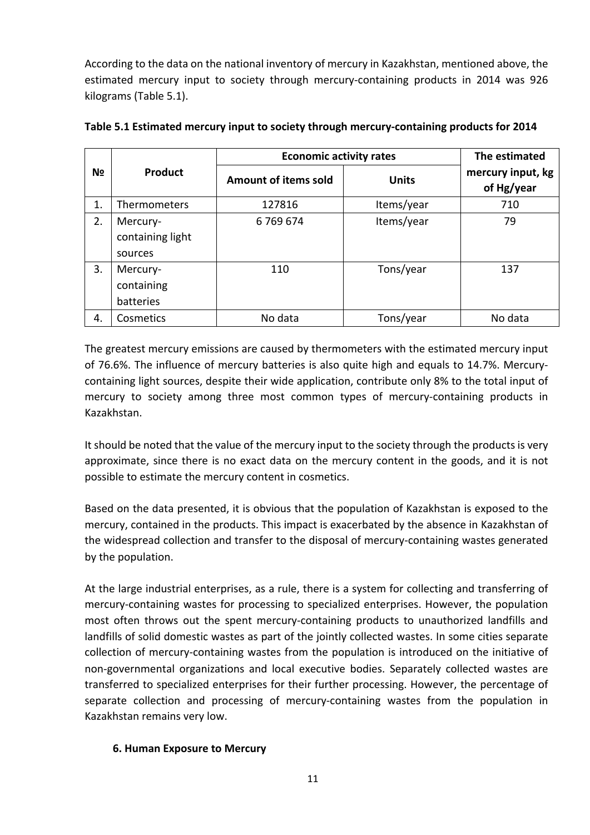According to the data on the national inventory of mercury in Kazakhstan, mentioned above, the estimated mercury input to society through mercury-containing products in 2014 was 926 kilograms (Table 5.1).

|    |                                         | <b>Economic activity rates</b> | The estimated |                                 |  |
|----|-----------------------------------------|--------------------------------|---------------|---------------------------------|--|
| Nº | Product                                 | <b>Amount of items sold</b>    | <b>Units</b>  | mercury input, kg<br>of Hg/year |  |
| 1. | <b>Thermometers</b>                     | 127816                         | Items/year    | 710                             |  |
| 2. | Mercury-<br>containing light<br>sources | 6769674                        | Items/year    | 79                              |  |
| 3. | Mercury-<br>containing<br>batteries     | 110                            | Tons/year     | 137                             |  |
| 4. | Cosmetics                               | No data                        | Tons/year     | No data                         |  |

#### **Table 5.1 Estimated mercury input to society through mercury-containing products for 2014**

The greatest mercury emissions are caused by thermometers with the estimated mercury input of 76.6%. The influence of mercury batteries is also quite high and equals to 14.7%. Mercurycontaining light sources, despite their wide application, contribute only 8% to the total input of mercury to society among three most common types of mercury-containing products in Kazakhstan.

It should be noted that the value of the mercury input to the society through the products is very approximate, since there is no exact data on the mercury content in the goods, and it is not possible to estimate the mercury content in cosmetics.

Based on the data presented, it is obvious that the population of Kazakhstan is exposed to the mercury, contained in the products. This impact is exacerbated by the absence in Kazakhstan of the widespread collection and transfer to the disposal of mercury-containing wastes generated by the population.

At the large industrial enterprises, as a rule, there is a system for collecting and transferring of mercury-containing wastes for processing to specialized enterprises. However, the population most often throws out the spent mercury-containing products to unauthorized landfills and landfills of solid domestic wastes as part of the jointly collected wastes. In some cities separate collection of mercury-containing wastes from the population is introduced on the initiative of non-governmental organizations and local executive bodies. Separately collected wastes are transferred to specialized enterprises for their further processing. However, the percentage of separate collection and processing of mercury-containing wastes from the population in Kazakhstan remains very low.

#### **6. Human Exposure to Mercury**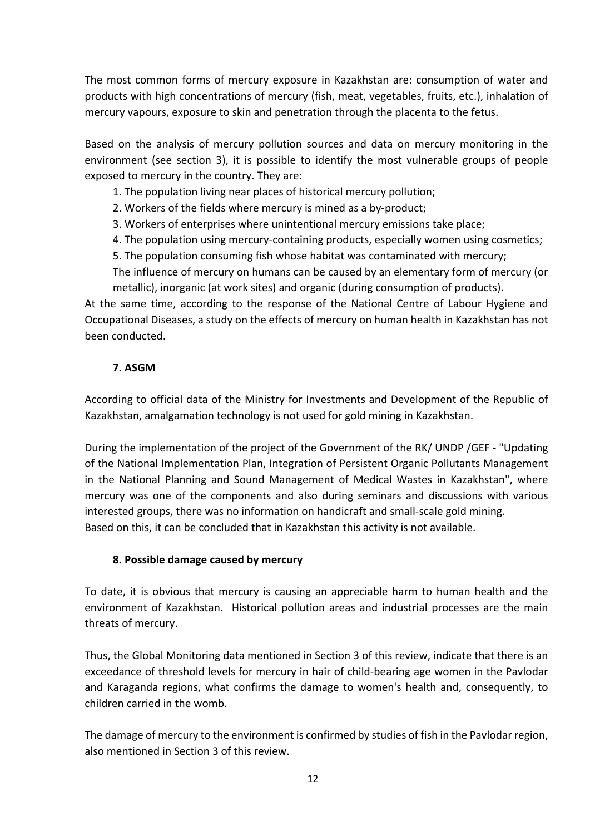The most common forms of mercury exposure in Kazakhstan are: consumption of water and products with high concentrations of mercury (fish, meat, vegetables, fruits, etc.), inhalation of mercury vapours, exposure to skin and penetration through the placenta to the fetus.

Based on the analysis of mercury pollution sources and data on mercury monitoring in the environment (see section 3), it is possible to identify the most vulnerable groups of people exposed to mercury in the country. They are:

1. The population living near places of historical mercury pollution;

2. Workers of the fields where mercury is mined as a by-product;

3. Workers of enterprises where unintentional mercury emissions take place;

4. The population using mercury-containing products, especially women using cosmetics;

5. The population consuming fish whose habitat was contaminated with mercury;

The influence of mercury on humans can be caused by an elementary form of mercury (or metallic), inorganic (at work sites) and organic (during consumption of products).

At the same time, according to the response of the National Centre of Labour Hygiene and Occupational Diseases, a study on the effects of mercury on human health in Kazakhstan has not been conducted.

## **7. ASGM**

According to official data of the Ministry for Investments and Development of the Republic of Kazakhstan, amalgamation technology is not used for gold mining in Kazakhstan.

During the implementation of the project of the Government of the RK/ UNDP /GEF - "Updating of the National Implementation Plan, Integration of Persistent Organic Pollutants Management in the National Planning and Sound Management of Medical Wastes in Kazakhstan", where mercury was one of the components and also during seminars and discussions with various interested groups, there was no information on handicraft and small-scale gold mining. Based on this, it can be concluded that in Kazakhstan this activity is not available.

#### **8. Possible damage caused by mercury**

To date, it is obvious that mercury is causing an appreciable harm to human health and the environment of Kazakhstan. Historical pollution areas and industrial processes are the main threats of mercury.

Thus, the Global Monitoring data mentioned in Section 3 of this review, indicate that there is an exceedance of threshold levels for mercury in hair of child-bearing age women in the Pavlodar and Karaganda regions, what confirms the damage to women's health and, consequently, to children carried in the womb.

The damage of mercury to the environment is confirmed by studies of fish in the Pavlodar region, also mentioned in Section 3 of this review.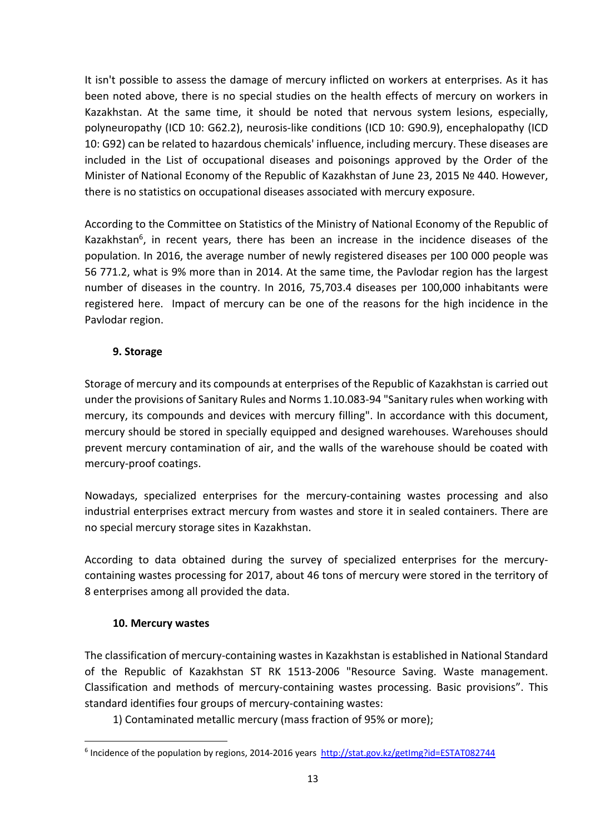It isn't possible to assess the damage of mercury inflicted on workers at enterprises. As it has been noted above, there is no special studies on the health effects of mercury on workers in Kazakhstan. At the same time, it should be noted that nervous system lesions, especially, polyneuropathy (ICD 10: G62.2), neurosis-like conditions (ICD 10: G90.9), encephalopathy (ICD 10: G92) can be related to hazardous chemicals' influence, including mercury. These diseases are included in the List of occupational diseases and poisonings approved by the Order of the Minister of National Economy of the Republic of Kazakhstan of June 23, 2015 № 440. However, there is no statistics on occupational diseases associated with mercury exposure.

According to the Committee on Statistics of the Ministry of National Economy of the Republic of Kazakhstan $^6$ , in recent years, there has been an increase in the incidence diseases of the population. In 2016, the average number of newly registered diseases per 100 000 people was 56 771.2, what is 9% more than in 2014. At the same time, the Pavlodar region has the largest number of diseases in the country. In 2016, 75,703.4 diseases per 100,000 inhabitants were registered here. Impact of mercury can be one of the reasons for the high incidence in the Pavlodar region.

## **9. Storage**

Storage of mercury and its compounds at enterprises of the Republic of Kazakhstan is carried out under the provisions of Sanitary Rules and Norms 1.10.083-94 "Sanitary rules when working with mercury, its compounds and devices with mercury filling". In accordance with this document, mercury should be stored in specially equipped and designed warehouses. Warehouses should prevent mercury contamination of air, and the walls of the warehouse should be coated with mercury-proof coatings.

Nowadays, specialized enterprises for the mercury-containing wastes processing and also industrial enterprises extract mercury from wastes and store it in sealed containers. There are no special mercury storage sites in Kazakhstan.

According to data obtained during the survey of specialized enterprises for the mercurycontaining wastes processing for 2017, about 46 tons of mercury were stored in the territory of 8 enterprises among all provided the data.

#### **10. Mercury wastes**

The classification of mercury-containing wastes in Kazakhstan is established in National Standard of the Republic of Kazakhstan ST RK 1513-2006 "Resource Saving. Waste management. Classification and methods of mercury-containing wastes processing. Basic provisions". This standard identifies four groups of mercury-containing wastes:

1) Contaminated metallic mercury (mass fraction of 95% or more);

<sup>&</sup>lt;sup>6</sup> Incidence of the population by regions, 2014-2016 years http://stat.gov.kz/getImg?id=ESTAT082744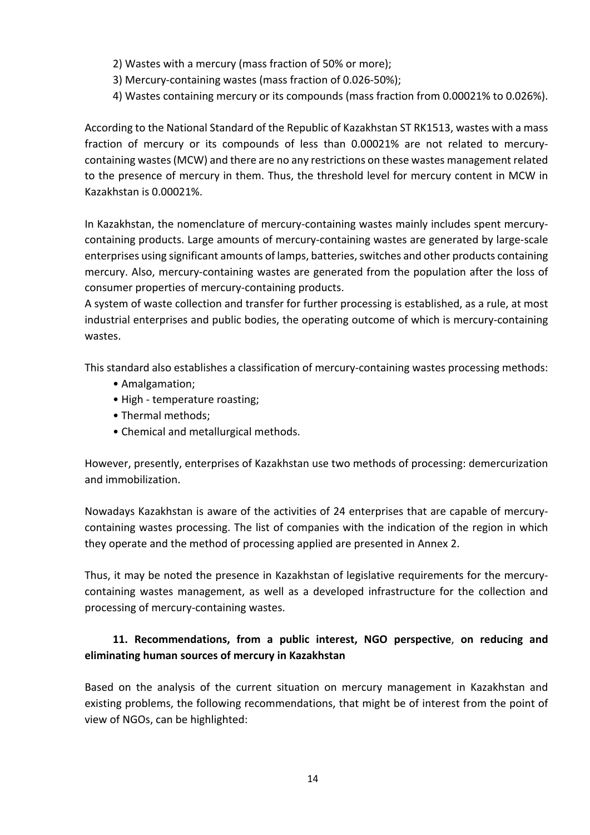- 2) Wastes with a mercury (mass fraction of 50% or more);
- 3) Mercury-containing wastes (mass fraction of 0.026-50%);
- 4) Wastes containing mercury or its compounds (mass fraction from 0.00021% to 0.026%).

According to the National Standard of the Republic of Kazakhstan ST RK1513, wastes with a mass fraction of mercury or its compounds of less than 0.00021% are not related to mercurycontaining wastes (MCW) and there are no any restrictions on these wastes management related to the presence of mercury in them. Thus, the threshold level for mercury content in MCW in Kazakhstan is 0.00021%.

In Kazakhstan, the nomenclature of mercury-containing wastes mainly includes spent mercurycontaining products. Large amounts of mercury-containing wastes are generated by large-scale enterprises using significant amounts of lamps, batteries, switches and other products containing mercury. Also, mercury-containing wastes are generated from the population after the loss of consumer properties of mercury-containing products.

A system of waste collection and transfer for further processing is established, as a rule, at most industrial enterprises and public bodies, the operating outcome of which is mercury-containing wastes.

This standard also establishes a classification of mercury-containing wastes processing methods:

- Amalgamation;
- High temperature roasting;
- Thermal methods;
- Chemical and metallurgical methods.

However, presently, enterprises of Kazakhstan use two methods of processing: demercurization and immobilization.

Nowadays Kazakhstan is aware of the activities of 24 enterprises that are capable of mercurycontaining wastes processing. The list of companies with the indication of the region in which they operate and the method of processing applied are presented in Annex 2.

Thus, it may be noted the presence in Kazakhstan of legislative requirements for the mercurycontaining wastes management, as well as a developed infrastructure for the collection and processing of mercury-containing wastes.

# **11. Recommendations, from a public interest, NGO perspective**, **on reducing and eliminating human sources of mercury in Kazakhstan**

Based on the analysis of the current situation on mercury management in Kazakhstan and existing problems, the following recommendations, that might be of interest from the point of view of NGOs, can be highlighted: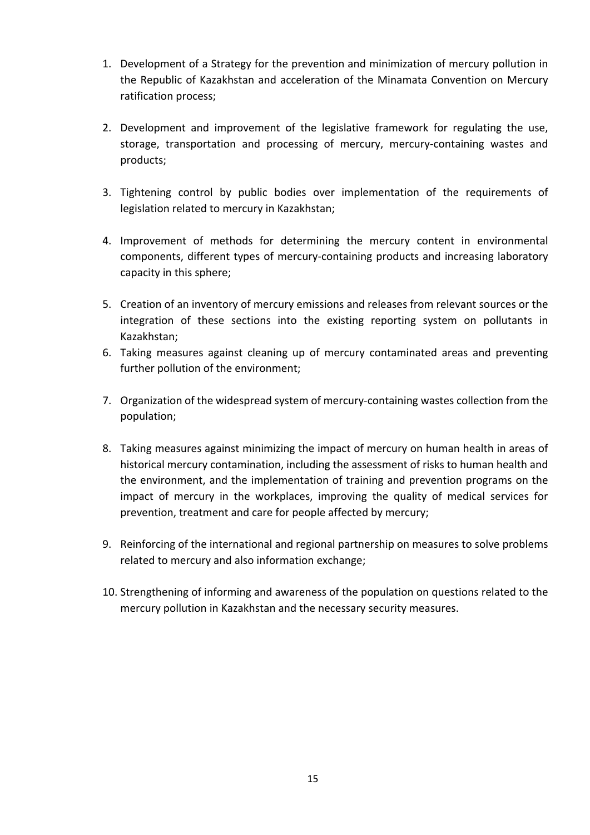- 1. Development of a Strategy for the prevention and minimization of mercury pollution in the Republic of Kazakhstan and acceleration of the Minamata Convention on Mercury ratification process;
- 2. Development and improvement of the legislative framework for regulating the use, storage, transportation and processing of mercury, mercury-containing wastes and products;
- 3. Tightening control by public bodies over implementation of the requirements of legislation related to mercury in Kazakhstan;
- 4. Improvement of methods for determining the mercury content in environmental components, different types of mercury-containing products and increasing laboratory capacity in this sphere;
- 5. Creation of an inventory of mercury emissions and releases from relevant sources or the integration of these sections into the existing reporting system on pollutants in Kazakhstan;
- 6. Taking measures against cleaning up of mercury contaminated areas and preventing further pollution of the environment;
- 7. Organization of the widespread system of mercury-containing wastes collection from the population;
- 8. Taking measures against minimizing the impact of mercury on human health in areas of historical mercury contamination, including the assessment of risks to human health and the environment, and the implementation of training and prevention programs on the impact of mercury in the workplaces, improving the quality of medical services for prevention, treatment and care for people affected by mercury;
- 9. Reinforcing of the international and regional partnership on measures to solve problems related to mercury and also information exchange;
- 10. Strengthening of informing and awareness of the population on questions related to the mercury pollution in Kazakhstan and the necessary security measures.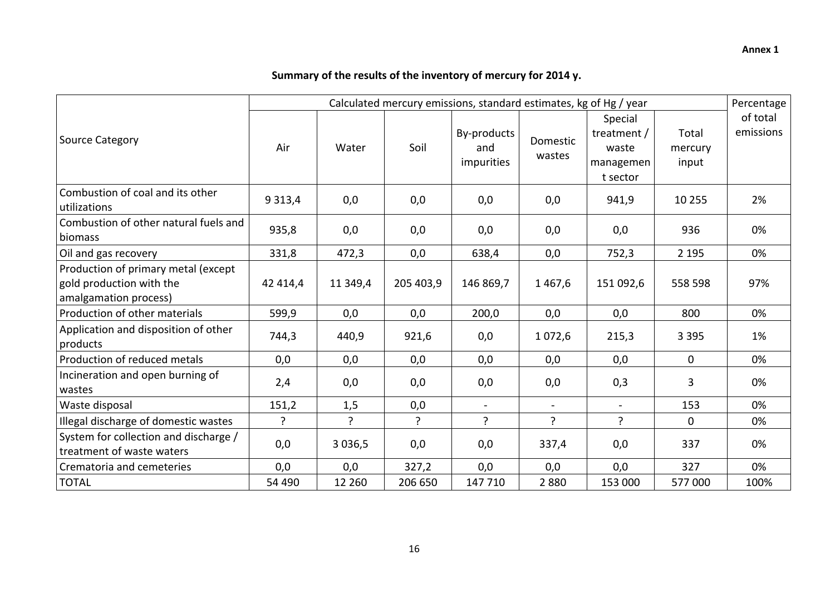# **Summary of the results of the inventory of mercury for 2014 y.**

|                                                                                          | Calculated mercury emissions, standard estimates, kg of Hg / year |            |                |                                  |                    |                                                          |                           | Percentage            |
|------------------------------------------------------------------------------------------|-------------------------------------------------------------------|------------|----------------|----------------------------------|--------------------|----------------------------------------------------------|---------------------------|-----------------------|
| Source Category                                                                          | Air                                                               | Water      | Soil           | By-products<br>and<br>impurities | Domestic<br>wastes | Special<br>treatment /<br>waste<br>managemen<br>t sector | Total<br>mercury<br>input | of total<br>emissions |
| Combustion of coal and its other<br>utilizations                                         | 9 3 1 3,4                                                         | 0,0        | 0,0            | 0,0                              | 0,0                | 941,9                                                    | 10 255                    | 2%                    |
| Combustion of other natural fuels and<br>biomass                                         | 935,8                                                             | 0,0        | 0,0            | 0,0                              | 0,0                | 0,0                                                      | 936                       | 0%                    |
| Oil and gas recovery                                                                     | 331,8                                                             | 472,3      | 0,0            | 638,4                            | 0,0                | 752,3                                                    | 2 1 9 5                   | 0%                    |
| Production of primary metal (except<br>gold production with the<br>amalgamation process) | 42 414,4                                                          | 11 349,4   | 205 403,9      | 146 869,7                        | 1467,6             | 151 092,6                                                | 558 598                   | 97%                   |
| Production of other materials                                                            | 599,9                                                             | 0,0        | 0,0            | 200,0                            | 0,0                | 0,0                                                      | 800                       | 0%                    |
| Application and disposition of other<br>products                                         | 744,3                                                             | 440,9      | 921,6          | 0,0                              | 1 0 7 2,6          | 215,3                                                    | 3 3 9 5                   | 1%                    |
| Production of reduced metals                                                             | 0,0                                                               | 0,0        | 0,0            | 0,0                              | 0,0                | 0,0                                                      | $\mathbf 0$               | 0%                    |
| Incineration and open burning of<br>wastes                                               | 2,4                                                               | 0,0        | 0,0            | 0,0                              | 0,0                | 0,3                                                      | 3                         | 0%                    |
| Waste disposal                                                                           | 151,2                                                             | 1,5        | 0,0            | $\blacksquare$                   | $\blacksquare$     | $\blacksquare$                                           | 153                       | 0%                    |
| Illegal discharge of domestic wastes                                                     | ?                                                                 | ?          | $\overline{?}$ | $\mathbf{P}$                     | ?                  | ?                                                        | $\mathbf 0$               | 0%                    |
| System for collection and discharge /<br>treatment of waste waters                       | 0,0                                                               | 3 0 3 6, 5 | 0,0            | 0,0                              | 337,4              | 0,0                                                      | 337                       | 0%                    |
| Crematoria and cemeteries                                                                | 0,0                                                               | 0,0        | 327,2          | 0,0                              | 0,0                | 0,0                                                      | 327                       | 0%                    |
| <b>TOTAL</b>                                                                             | 54 490                                                            | 12 260     | 206 650        | 147 710                          | 2880               | 153 000                                                  | 577000                    | 100%                  |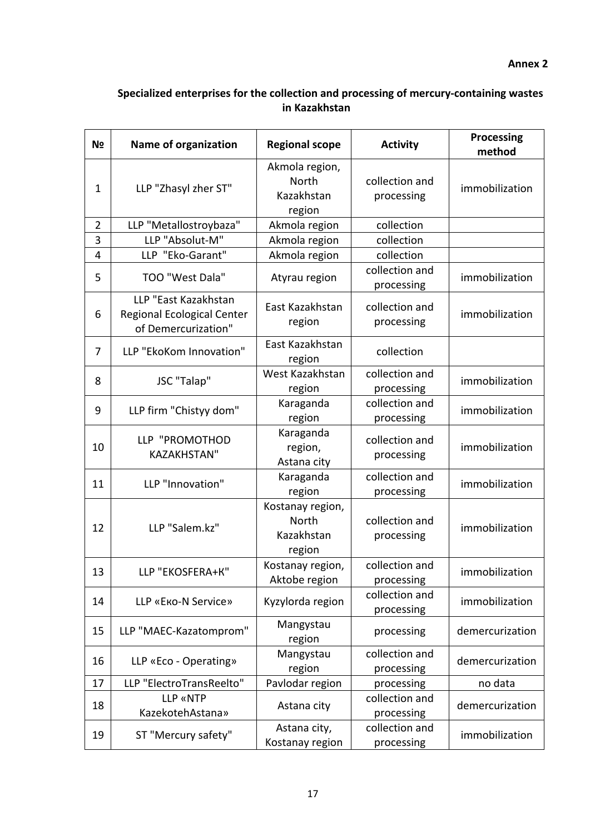#### **Annex 2**

# **Specialized enterprises for the collection and processing of mercury-containing wastes in Kazakhstan**

| N <sub>2</sub> | <b>Name of organization</b>                                                      | <b>Regional scope</b>                             | <b>Activity</b>              | <b>Processing</b><br>method |
|----------------|----------------------------------------------------------------------------------|---------------------------------------------------|------------------------------|-----------------------------|
| 1              | LLP "Zhasyl zher ST"                                                             | Akmola region,<br>North<br>Kazakhstan<br>region   | collection and<br>processing | immobilization              |
| $\overline{2}$ | LLP "Metallostroybaza"                                                           | Akmola region                                     | collection                   |                             |
| 3              | LLP "Absolut-M"                                                                  | Akmola region                                     | collection                   |                             |
| 4              | LLP "Eko-Garant"                                                                 | Akmola region                                     | collection                   |                             |
| 5              | TOO "West Dala"                                                                  | Atyrau region                                     | collection and<br>processing | immobilization              |
| 6              | LLP "East Kazakhstan<br><b>Regional Ecological Center</b><br>of Demercurization" | East Kazakhstan<br>region                         | collection and<br>processing | immobilization              |
| 7              | LLP "EkoKom Innovation"                                                          | East Kazakhstan<br>region                         | collection                   |                             |
| 8              | JSC "Talap"                                                                      | West Kazakhstan<br>region                         | collection and<br>processing | immobilization              |
| 9              | LLP firm "Chistyy dom"                                                           | Karaganda<br>region                               | collection and<br>processing | immobilization              |
| 10             | LLP "PROMOTHOD<br><b>KAZAKHSTAN"</b>                                             | Karaganda<br>region,<br>Astana city               | collection and<br>processing | immobilization              |
| 11             | LLP "Innovation"                                                                 | Karaganda<br>region                               | collection and<br>processing | immobilization              |
| 12             | LLP "Salem.kz"                                                                   | Kostanay region,<br>North<br>Kazakhstan<br>region | collection and<br>processing | immobilization              |
| 13             | LLP "EKOSFERA+K"                                                                 | Kostanay region,<br>Aktobe region                 | collection and<br>processing | immobilization              |
| 14             | LLP «Еко-N Service»                                                              | Kyzylorda region                                  | collection and<br>processing | immobilization              |
| 15             | LLP "MAEC-Kazatomprom"                                                           | Mangystau<br>region                               | processing                   | demercurization             |
| 16             | LLP «Eco - Operating»                                                            | Mangystau<br>region                               | collection and<br>processing | demercurization             |
| 17             | LLP "ElectroTransReelto"                                                         | Pavlodar region                                   | processing                   | no data                     |
| 18             | <b>LLP «NTP</b><br>KazekotehAstana»                                              | Astana city                                       | collection and<br>processing | demercurization             |
| 19             | ST "Mercury safety"                                                              | Astana city,<br>Kostanay region                   | collection and<br>processing | immobilization              |